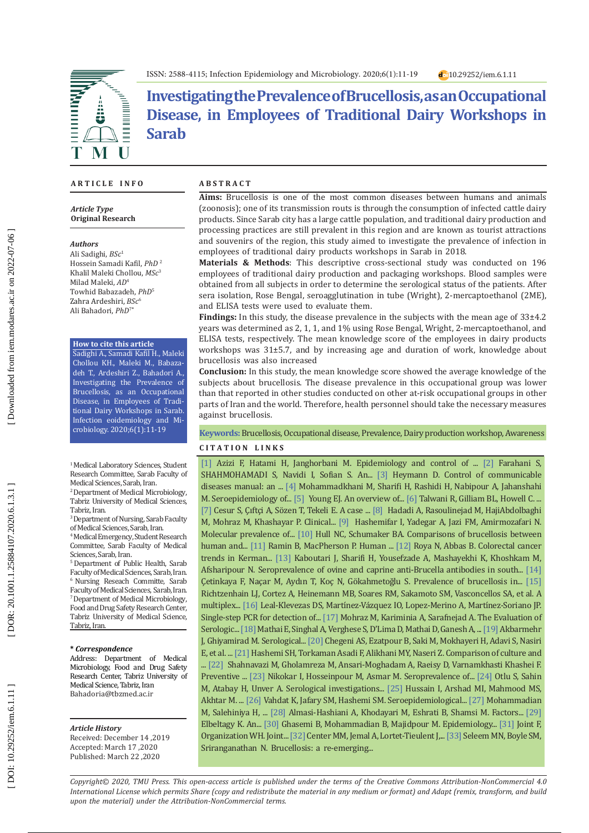

**Investigating the Prevalence of Brucellosis, as an Occupational Disease, in Employees of Traditional Dairy Workshops in Sarab** 

### **A R T I C L E I N F O**

*Article Type* **Original Research**

#### *Authors*

Ali Sadighi, *BSc* 1 Hossein Samadi Kafil, *PhD*  2 Khalil Maleki Chollou, *MSc* 3 Milad Maleki, *AD* 4 Towhid [Babazadeh,](https://www.ncbi.nlm.nih.gov/pubmed/?term=Babazadeh%20T%5BAuthor%5D&cauthor=true&cauthor_uid=31235128) *PhD* 5 Zahra Ardeshiri, *BSc* 6 Ali Bahadori, *PhD* 7 **\***

#### **How to cite this article**

Sadighi A., Samadi Kafil H., Maleki Chollou KH., Maleki M., Babaza deh T., Ardeshiri Z., Bahadori A., Investigating the Prevalence of Brucellosis, as an Occupational Disease, in Employees of Tradi tional Dairy Workshops in Sarab. Infection eoidemiology and Mi crobiology. 2020;6(1):11-19

#### <sup>1</sup> Medical Laboratory Sciences, Student Research Committee, Sarab Faculty of Medical Sciences, Sarab, Iran.

2 Department of Medical Microbiology, Tabriz University of Medical Sciences, Tabriz, Iran.

3 Department of Nursing, Sarab Faculty of Medical Sciences, Sarab, Iran.

4 Medical Emergency, Student Research Committee, Sarab Faculty of Medical Sciences, Sarab, Iran.

5 Department of Public Health, Sarab Faculty of Medical Sciences, Sarab, Iran. 6 Nursing Reseach Committe, Sarab Faculty of Medical Sciences, Sarab, Iran. 7 Department of Medical Microbiology, Food and Drug Safety Research Center, Tabriz University of Medical Science, Tabriz, Iran.

#### **\*** *Correspondence*

Address: Department of Medical Microbiology, Food and Drug Safety Research Center, Tabriz University of Medical Science, Tabriz, Iran [Bahadoria@tbzmed.ac.ir](mailto:*Bahadoria@tbzmed.ac.ir)

#### *Article History*

Received: December 14 ,2019 Accepted: March 17 ,2020 Published: March 22 ,2020

### **A B S T R A C T**

**Aims:** Brucellosis is one of the most common diseases between humans and animals (zoonosis); one of its transmission routs is through the consumption of infected cattle dairy products. Since Sarab city has a large cattle population, and traditional dairy production and processing practices are still prevalent in this region and are known as tourist attractions and souvenirs of the region, this study aimed to investigate the prevalence of infection in employees of traditional dairy products workshops in Sarab in 2018.

**Materials & Methods**: This descriptive cross-sectional study was conducted on 196 employees of traditional dairy production and packaging workshops. Blood samples were obtained from all subjects in order to determine the serological status of the patients. After sera isolation, Rose Bengal, seroagglutination in tube (Wright), 2-mercaptoethanol (2ME), and ELISA tests were used to evaluate them.

**Findings:** In this study, the disease prevalence in the subjects with the mean age of 33±4.2 years was determined as 2, 1, 1, and 1% using Rose Bengal, Wright, 2-mercaptoethanol, and ELISA tests, respectively. The mean knowledge score of the employees in dairy products workshops was 31±5.7, and by increasing age and duration of work, knowledge about brucellosis was also increased

**Conclusion:** In this study, the mean knowledge score showed the average knowledge of the subjects about brucellosis. The disease prevalence in this occupational group was lower than that reported in other studies conducted on other at-risk occupational groups in other parts of Iran and the world. Therefore, health personnel should take the necessary measures against brucellosis.

## **Keywords:** Brucellosis, Occupational disease, Prevalence, Dairy production workshop, Awareness

### **C I T A T I O N L I N K S**

[1] Azizi F, Hatami H, Janghorbani M. Epidemiology and control of ... [\[2\]](http://jams.arakmu.ac.ir/article-1-1364-en.html) Farahani S, SHAHMOHAMADI S, Navidi I, Sofian S. An... [\[3\]](https://scholar.google.com/scholar?hl=en&as_sdt=0%2C5&q=Farahani+S%2C+SHAHMOHAMADI+S%2C+Navidi+I%2C+Sofian+S.+An+investigation+of+the+epidemiology+of+brucellosis+in+Arak+City%2C+Iran%2C%282001-2010%29.+2012.&btnG=) Heymann D. Control of communicable diseases manual: an ... [\[4\]](http://irje.tums.ac.ir/browse.php?a_id=5297&sid=1&slc_lang=en) Mohammadkhani M, Sharifi H, Rashidi H, Nabipour A, Jahanshahi M. Seroepidemiology of... [\[5\]](https://www.ncbi.nlm.nih.gov/pmc/articles/PMC2627605/) Young EJ. An overview of... [\[6\]](https://europepmc.org/article/pmc/pmc3660095) Talwani R, Gilliam BL, Howell C. .. [\[7\]](https://www.semanticscholar.org/paper/A-case-of-epididymo-orchitis-and-paravertebral-due-Cesur-%C3%87ift%C3%A7i/0f4c570cdf70bbbf1642d569c4164fdf7f67b7a1) Cesur S, Çıftçi A, Sözen T, Tekeli E. A case ... [\[8\]](https://www.tandfonline.com/doi/abs/10.1179/acb.2009.004) Hadadi A, Rasoulinejad M, HajiAbdolbaghi M, Mohraz M, Khashayar P. Clinical... [\[9\]](https://europepmc.org/article/med/28284850) Hashemifar I, Yadegar A, Jazi FM, Amirmozafari N. Molecular prevalence of... [\[10\]](https://www.ncbi.nlm.nih.gov/pmc/articles/PMC6063340/) Hull NC, Schumaker BA. Comparisons of brucellosis between human and... [\[11\]](https://europepmc.org/article/med/20833741) Ramin B, MacPherson P. Human ... [\[12\]](http://www.koreascience.or.kr/article/JAKO201321251180099.page) Roya N, Abbas B. Colorectal cancer trends in Kerman... [\[13\]](https://www.cabdirect.org/cabdirect/abstract/20163063133) Kaboutari J, Sharifi H, Yousefzade A, Mashayekhi K, Khoshkam M, Afsharipour N. Seroprevalence of ovine and caprine anti-Brucella antibodies in south... [\[14\]](https://www.ijidonline.com/article/S1201-9712\(05\)00135-9/abstract) Çetinkaya F, Naçar M, Aydın T, Koç N, Gökahmetoğlu S. Prevalence of brucellosis in... [\[15\]](https://www.sciencedirect.com/science/article/pii/S0378113502000494) Richtzenhain LJ, Cortez A, Heinemann MB, Soares RM, Sakamoto SM, Vasconcellos SA, et al. A multiplex... [\[16\]](https://jcm.asm.org/content/33/12/3087.short) Leal-Klevezas DS, Martinez-Vázquez IO, Lopez-Merino A, Martinez-Soriano JP. Single-step PCR for detection of... [\[17\]](https://scholar.google.com/scholar?hl=en&as_sdt=0%2C5&q=Mohraz+M%2C+Kariminia+A%2C+Sarafnejad+A.+The+Evaluation+of+Serologic+Test+%28Elisa%29+in+Brucellosis+identification+at+Imam+Khomaini+Hospital.+Infectious+and+Tropical+disease.+2003%3B8%2823%29%3A10-3\
.&btnG=) Mohraz M, Kariminia A, Sarafnejad A. The Evaluation of Serologic... [\[18\]](https://europepmc.org/article/med/8707374) Mathai E, Singhal A, Verghese S, D'Lima D, Mathai D, Ganesh A, ... [\[19\]](https://academicjournals.org/journal/AJMR/article-full-text-pdf/41E7DF527700.pdf) Akbarmehr J, Ghiyamirad M. Serological... [\[20\]](https://www.sciencedirect.com/science/article/abs/pii/S2222180814605843) Chegeni AS, Ezatpour B, Saki M, Mokhayeri H, Adavi S, Nasiri E, et al. ... [\[21\]](http://sjh.umsha.ac.ir/browse.php?a_id=54&sid=1&slc_lang=en) Hashemi SH, Torkaman Asadi F, Alikhani MY, Naseri Z. Comparison of culture and ..<sup>[\[22\]](http://journal.ihepsa.ir/browse.php?a_id=484&slc_lang=en&sid=1&printcase=1&hbnr=1&hmb=1)</sup> Shahnavazi M, Gholamreza M, Ansari-Moghadam A, Raeisy D, Varnamkhasti Khashei F. Preventive ... [\[23\]](https://www.ncbi.nlm.nih.gov/pmc/articles/PMC3430029/) Nikokar I, Hosseinpour M, Asmar M. Seroprevalence of... [\[24\]](https://actavet.vfu.cz/77/1/0117/) Otlu S, Sahin M, Atabay H, Unver A. Serological investigations... [\[25\]](https://journals.tubitak.gov.tr/veterinary/abstract.htm?id=9718) Hussain I, Arshad MI, Mahmood MS, Akhtar M. ... [\[26\]](http://ismj.bpums.ac.ir/files/site1/user_files_047d40/lalerokh-A-10-3-45-d818bf6.pdf) Vahdat K, Jafary SM, Hashemi SM. Seroepidemiological... [\[27\]](http://eprints.iums.ac.ir/4626/) Mohammadian M, Salehiniya H, ... [\[28\]](http://jams.arakmu.ac.ir/browse.php?a_id=1358&sid=1&slc_lang=en) Almasi-Hashiani A, Khodayari M, Eshrati B, Shamsi M. Factors... [\[29\]](https://apps.who.int/iris/handle/10665/119090)  Elbeltagy K. An... [\[30\]](https://www.sid.ir/en/Journal/ViewPaper.aspx?ID=43455) Ghasemi B, Mohammadian B, Majidpour M. Epidemiology... [\[31\]](https://apps.who.int/iris/handle/10665/40202) Joint F, Organization WH. Joint... [\[32\]](https://www.sciencedirect.com/science/article/pii/S0302283812003053) Center MM, Jemal A, Lortet-Tieulent J,... [\[33\]](https://www.sciencedirect.com/science/article/pii/S0378113509003058) Seleem MN, Boyle SM, Sriranganathan N. Brucellosis: a re-emerging...

*Copyright© 2020, TMU Press. This open-access article is published under the terms of the Creative Commons Attribution-NonCommercial 4.0 International License which permits Share (copy and redistribute the material in any medium or format) and Adapt (remix, transform, and build upon the material) under the Attribution-NonCommercial terms.*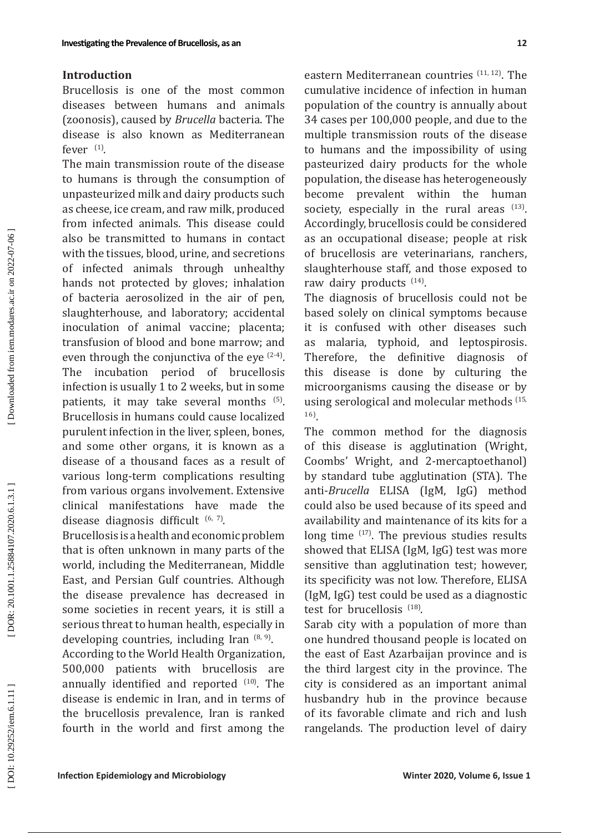### **Introduction**

Brucellosis is one of the most common diseases between humans and animals (zoonosis), caused by *Brucella* bacteria. The disease is also known as Mediterranean fever  $(1)$ .

The main transmission route of the disease to humans is through the consumption of unpasteurized milk and dairy products such as cheese, ice cream, and raw milk, produced from infected animals. This disease could also be transmitted to humans in contact with the tissues, blood, urine, and secretions of infected animals through unhealthy hands not protected by gloves; inhalation of bacteria aerosolized in the air of pen, slaughterhouse, and laboratory; accidental inoculation of animal vaccine; placenta; transfusion of blood and bone marrow; and even through the conjunctiva of the eye  $(2-4)$ . The incubation period of brucellosis infection is usually 1 to 2 weeks, but in some patients, it may take several months <sup>(5)</sup>. Brucellosis in humans could cause localized purulent infection in the liver, spleen, bones, and some other organs, it is known as a disease of a thousand faces as a result of various long-term complications resulting from various organs involvement. Extensive clinical manifestations have made the disease diagnosis difficult  $(6, 7)$ .

Brucellosis is a health and economic problem that is often unknown in many parts of the world, including the Mediterranean, Middle East, and Persian Gulf countries. Although the disease prevalence has decreased in some societies in recent years, it is still a serious threat to human health, especially in developing countries, including Iran  $(8, 9)$ .

According to the World Health Organization, 500,000 patients with brucellosis are annually identified and reported <sup>(10)</sup>. The disease is endemic in Iran, and in terms of the brucellosis prevalence, Iran is ranked fourth in the world and first among the

eastern Mediterranean countries  $(11, 12)$ . The cumulative incidence of infection in human population of the country is annually about 34 cases per 100,000 people, and due to the multiple transmission routs of the disease to humans and the impossibility of using pasteurized dairy products for the whole population, the disease has heterogeneously become prevalent within the human society, especially in the rural areas  $^{(13)}$ . Accordingly, brucellosis could be considered as an occupational disease; people at risk of brucellosis are veterinarians, ranchers, slaughterhouse staff, and those exposed to raw dairy products <sup>(14)</sup>.

The diagnosis of brucellosis could not be based solely on clinical symptoms because it is confused with other diseases such as malaria, typhoid, and leptospirosis. Therefore, the definitive diagnosis of this disease is done by culturing the microorganisms causing the disease or by using serological and molecular methods (15, 16 ) .

The common method for the diagnosis of this disease is agglutination (Wright, Coombs' Wright, and 2-mercaptoethanol) by standard tube agglutination (STA). The anti-*Brucella* ELISA (IgM, IgG) method could also be used because of its speed and availability and maintenance of its kits for a long time  $(17)$ . The previous studies results showed that ELISA (IgM, IgG) test was more sensitive than agglutination test; however, its specificity was not low. Therefore, ELISA (IgM, IgG) test could be used as a diagnostic test for brucellosis  $^{(18)}$ .

Sarab city with a population of more than one hundred thousand people is located on the east of East Azarbaijan province and is the third largest city in the province. The city is considered as an important animal husbandry hub in the province because of its favorable climate and rich and lush rangelands. The production level of dairy

DOI: 10.29252/iem.6.1.11]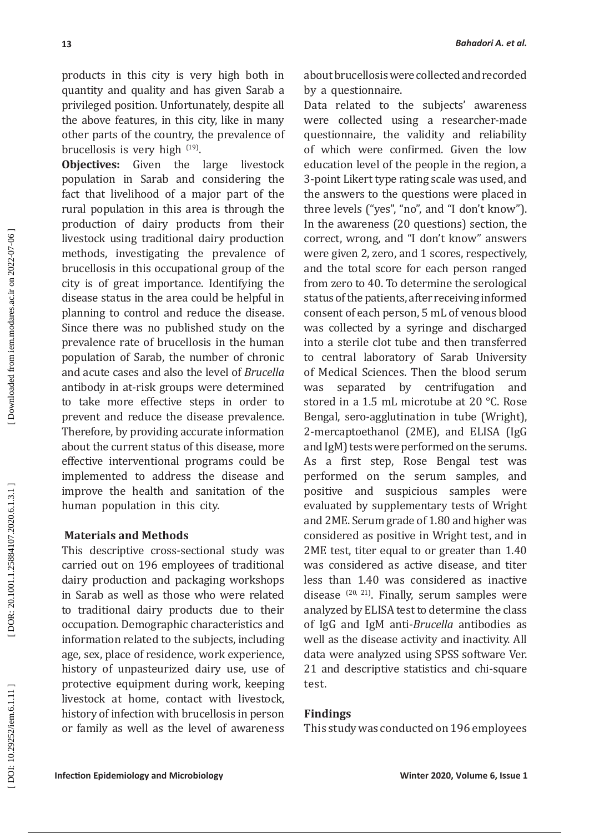products in this city is very high both in quantity and quality and has given Sarab a privileged position. Unfortunately, despite all the above features, in this city, like in many other parts of the country, the prevalence of brucellosis is very high  $(19)$ .

**Objectives:** Given the large livestock population in Sarab and considering the fact that livelihood of a major part of the rural population in this area is through the production of dairy products from their livestock using traditional dairy production methods, investigating the prevalence of brucellosis in this occupational group of the city is of great importance. Identifying the disease status in the area could be helpful in planning to control and reduce the disease. Since there was no published study on the prevalence rate of brucellosis in the human population of Sarab, the number of chronic and acute cases and also the level of *Brucella* antibody in at-risk groups were determined to take more effective steps in order to prevent and reduce the disease prevalence. Therefore, by providing accurate information about the current status of this disease, more effective interventional programs could be implemented to address the disease and improve the health and sanitation of the human population in this city.

# **Materials and Methods**

This descriptive cross-sectional study was carried out on 196 employees of traditional dairy production and packaging workshops in Sarab as well as those who were related to traditional dairy products due to their occupation. Demographic characteristics and information related to the subjects, including age, sex, place of residence, work experience, history of unpasteurized dairy use, use of protective equipment during work, keeping livestock at home, contact with livestock, history of infection with brucellosis in person or family as well as the level of awareness about brucellosis were collected and recorded by a questionnaire.

Data related to the subjects' awareness were collected using a researcher-made questionnaire, the validity and reliability of which were confirmed. Given the low education level of the people in the region, a 3-point Likert type rating scale was used, and the answers to the questions were placed in three levels ("yes", "no", and "I don't know"). In the awareness (20 questions) section, the correct, wrong, and "I don't know" answers were given 2, zero, and 1 scores, respectively, and the total score for each person ranged from zero to 40. To determine the serological status of the patients, after receiving informed consent of each person, 5 mL of venous blood was collected by a syringe and discharged into a sterile clot tube and then transferred to central laboratory of Sarab University of Medical Sciences. Then the blood serum was separated by centrifugation and stored in a 1.5 mL microtube at 20 °C. Rose Bengal, sero-agglutination in tube (Wright), 2-mercaptoethanol (2ME), and ELISA (IgG and IgM) tests were performed on the serums. As a first step, Rose Bengal test was performed on the serum samples, and positive and suspicious samples were evaluated by supplementary tests of Wright and 2ME. Serum grade of 1.80 and higher was considered as positive in Wright test, and in 2ME test, titer equal to or greater than 1.40 was considered as active disease, and titer less than 1.40 was considered as inactive disease  $(20, 21)$ . Finally, serum samples were analyzed by ELISA test to determine the class of IgG and IgM anti-*Brucella* antibodies as well as the disease activity and inactivity. All data were analyzed using SPSS software Ver. 21 and descriptive statistics and chi-square test.

# **Findings**

This study was conducted on 196 employees

**13**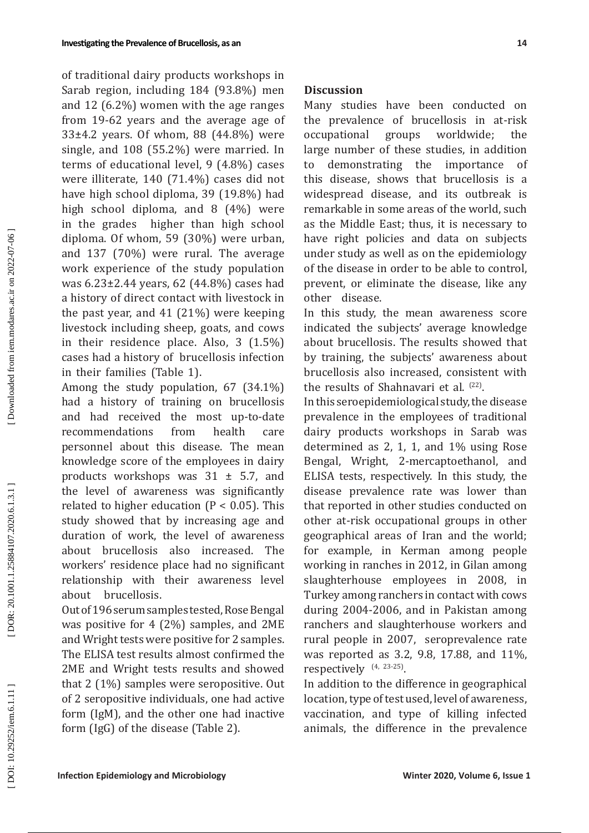of traditional dairy products workshops in Sarab region, including 184 (93.8%) men and 12 (6.2%) women with the age ranges from 19-62 years and the average age of 33±4.2 years. Of whom, 88 (44.8%) were single, and 108 (55.2%) were married. In terms of educational level, 9 (4.8%) cases were illiterate, 140 (71.4%) cases did not have high school diploma, 39 (19.8%) had high school diploma, and 8 (4%) were in the grades higher than high school diploma. Of whom, 59 (30%) were urban, and 137 (70%) were rural. The average work experience of the study population was 6.23±2.44 years, 62 (44.8%) cases had a history of direct contact with livestock in the past year, and 41 (21%) were keeping livestock including sheep, goats, and cows in their residence place. Also, 3 (1.5%) cases had a history of brucellosis infection in their families (Table 1).

Among the study population, 67 (34.1%) had a history of training on brucellosis and had received the most up-to-date recommendations from health care personnel about this disease. The mean knowledge score of the employees in dairy products workshops was  $31 \pm 5.7$ , and the level of awareness was significantly related to higher education ( $P < 0.05$ ). This study showed that by increasing age and duration of work, the level of awareness about brucellosis also increased. The workers' residence place had no significant relationship with their awareness level about brucellosis.

Out of 196 serum samples tested, Rose Bengal was positive for 4 (2%) samples, and 2ME and Wright tests were positive for 2 samples. The ELISA test results almost confirmed the 2ME and Wright tests results and showed that 2 (1%) samples were seropositive. Out of 2 seropositive individuals, one had active form (IgM), and the other one had inactive form (IgG) of the disease (Table 2).

### **Discussion**

Many studies have been conducted on the prevalence of brucellosis in at-risk<br>occupational groups worldwide; the occupational groups worldwide; the large number of these studies, in addition to demonstrating the importance of this disease, shows that brucellosis is a widespread disease, and its outbreak is remarkable in some areas of the world, such as the Middle East; thus, it is necessary to have right policies and data on subjects under study as well as on the epidemiology of the disease in order to be able to control, prevent, or eliminate the disease, like any other disease.

In this study, the mean awareness score indicated the subjects' average knowledge about brucellosis. The results showed that by training, the subjects' awareness about brucellosis also increased, consistent with the results of Shahnavari et al.  $(22)$ .

In this seroepidemiological study, the disease prevalence in the employees of traditional dairy products workshops in Sarab was determined as 2, 1, 1, and 1% using Rose Bengal, Wright, 2-mercaptoethanol, and ELISA tests, respectively. In this study, the disease prevalence rate was lower than that reported in other studies conducted on other at-risk occupational groups in other geographical areas of Iran and the world; for example, in Kerman among people working in ranches in 2012, in Gilan among slaughterhouse employees in 2008, in Turkey among ranchers in contact with cows during 2004-2006, and in Pakistan among ranchers and slaughterhouse workers and rural people in 2007, seroprevalence rate was reported as 3.2, 9.8, 17.88, and 11%, respectively  $(4, 23-25)$ .

In addition to the difference in geographical location, type of test used, level of awareness, vaccination, and type of killing infected animals, the difference in the prevalence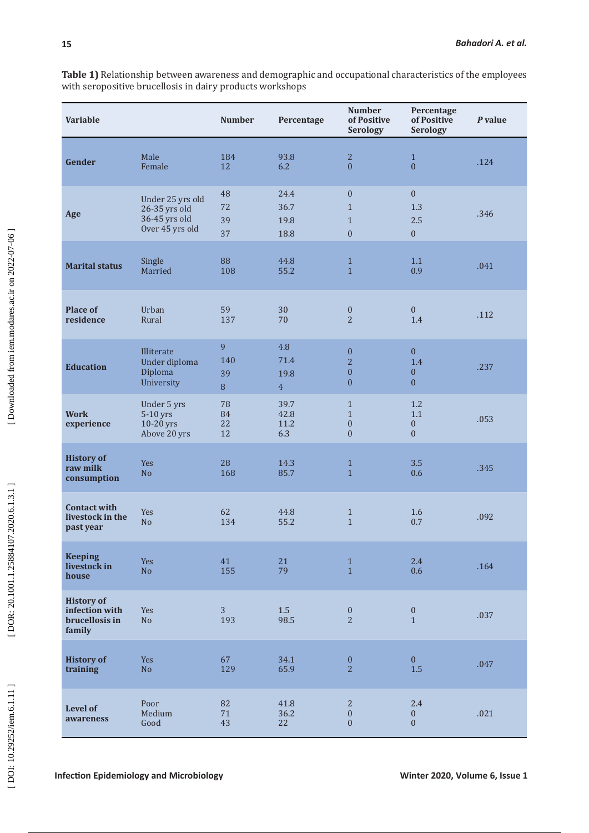**Table 1)** Relationship between awareness and demographic and occupational characteristics of the employees with seropositive brucellosis in dairy products workshops

| <b>Variable</b>                                                 |                                                                       | <b>Number</b>        | Percentage                            | <b>Number</b><br>of Positive<br><b>Serology</b>                            | Percentage<br>of Positive<br><b>Serology</b>          | P value |
|-----------------------------------------------------------------|-----------------------------------------------------------------------|----------------------|---------------------------------------|----------------------------------------------------------------------------|-------------------------------------------------------|---------|
| Gender                                                          | Male<br>Female                                                        | 184<br>12            | 93.8<br>6.2                           | $\overline{2}$<br>$\overline{0}$                                           | $\mathbf{1}$<br>$\Omega$                              | .124    |
| Age                                                             | Under 25 yrs old<br>26-35 yrs old<br>36-45 yrs old<br>Over 45 yrs old | 48<br>72<br>39<br>37 | 24.4<br>36.7<br>19.8<br>18.8          | $\mathbf{0}$<br>$\mathbf{1}$<br>$\mathbf{1}$<br>$\overline{0}$             | $\mathbf{0}$<br>1.3<br>2.5<br>$\mathbf{0}$            | .346    |
| <b>Marital status</b>                                           | Single<br>Married                                                     | 88<br>108            | 44.8<br>55.2                          | $\mathbf{1}$<br>$\mathbf{1}$                                               | 1.1<br>0.9                                            | .041    |
| <b>Place of</b><br>residence                                    | Urban<br>Rural                                                        | 59<br>137            | 30<br>70                              | $\boldsymbol{0}$<br>$\overline{2}$                                         | $\mathbf{0}$<br>1.4                                   | .112    |
| <b>Education</b>                                                | Illiterate<br>Under diploma<br>Diploma<br>University                  | 9<br>140<br>39<br>8  | 4.8<br>71.4<br>19.8<br>$\overline{4}$ | $\boldsymbol{0}$<br>$\overline{2}$<br>$\boldsymbol{0}$<br>$\boldsymbol{0}$ | $\overline{0}$<br>1.4<br>$\mathbf{0}$<br>$\mathbf{0}$ | .237    |
| <b>Work</b><br>experience                                       | Under 5 yrs<br>5-10 yrs<br>10-20 yrs<br>Above 20 yrs                  | 78<br>84<br>22<br>12 | 39.7<br>42.8<br>11.2<br>6.3           | $\mathbf{1}$<br>$\mathbf{1}$<br>$\boldsymbol{0}$<br>$\overline{0}$         | 1.2<br>1.1<br>$\boldsymbol{0}$<br>$\mathbf{0}$        | .053    |
| <b>History of</b><br>raw milk<br>consumption                    | <b>Yes</b><br>N <sub>o</sub>                                          | 28<br>168            | 14.3<br>85.7                          | $\mathbf{1}$<br>$\mathbf{1}$                                               | 3.5<br>0.6                                            | .345    |
| <b>Contact with</b><br>livestock in the<br>past year            | Yes<br>N <sub>o</sub>                                                 | 62<br>134            | 44.8<br>55.2                          | $\mathbf{1}$<br>$\mathbf{1}$                                               | 1.6<br>0.7                                            | .092    |
| <b>Keeping</b><br>livestock in<br>house                         | Yes<br>N <sub>o</sub>                                                 | 41<br>155            | 21<br>79                              | $\,1\,$<br>$\mathbf{1}$                                                    | 2.4<br>0.6                                            | .164    |
| <b>History of</b><br>infection with<br>brucellosis in<br>family | Yes<br>No                                                             | 3<br>193             | 1.5<br>98.5                           | $\boldsymbol{0}$<br>$\overline{2}$                                         | $\boldsymbol{0}$<br>$\mathbf{1}$                      | .037    |
| <b>History of</b><br>training                                   | Yes<br>N <sub>o</sub>                                                 | 67<br>129            | 34.1<br>65.9                          | $\boldsymbol{0}$<br>$\overline{2}$                                         | $\mathbf{0}$<br>$1.5\,$                               | .047    |
| Level of<br>awareness                                           | Poor<br>Medium<br>Good                                                | 82<br>71<br>43       | 41.8<br>36.2<br>22                    | $\sqrt{2}$<br>$\boldsymbol{0}$<br>$\boldsymbol{0}$                         | 2.4<br>$\boldsymbol{0}$<br>$\boldsymbol{0}$           | .021    |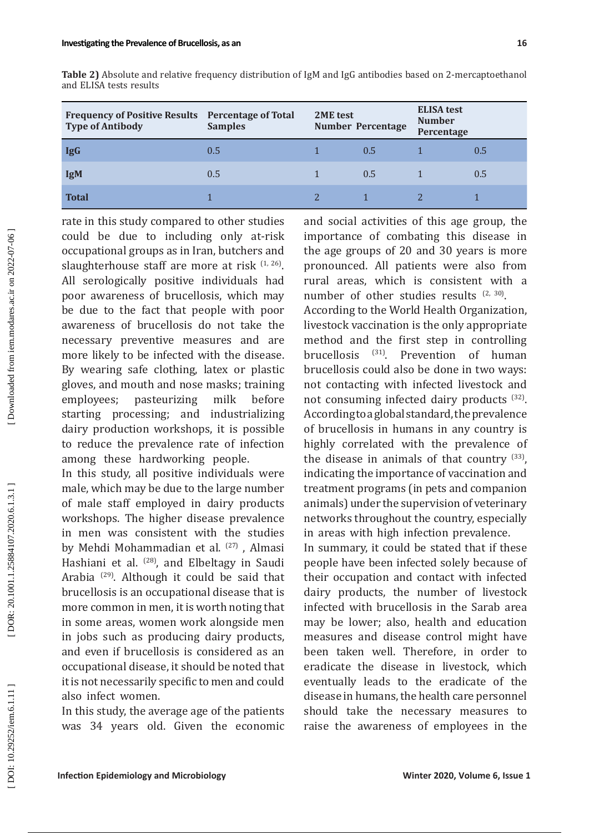| Frequency of Positive Results Percentage of Total<br><b>Type of Antibody</b> | <b>Samples</b> | 2ME test<br><b>Number Percentage</b> |     | <b>ELISA</b> test<br><b>Number</b><br>Percentage |     |
|------------------------------------------------------------------------------|----------------|--------------------------------------|-----|--------------------------------------------------|-----|
| <b>IgG</b>                                                                   | 0.5            |                                      | 0.5 |                                                  | 0.5 |
| <b>IgM</b>                                                                   | 0.5            |                                      | 0.5 |                                                  | 0.5 |
| <b>Total</b>                                                                 |                |                                      |     |                                                  |     |

**Table 2)** Absolute and relative frequency distribution of IgM and IgG antibodies based on 2-mercaptoethanol and ELISA tests results

rate in this study compared to other studies could be due to including only at-risk occupational groups as in Iran, butchers and slaughterhouse staff are more at risk  $(1, 26)$ . All serologically positive individuals had poor awareness of brucellosis, which may be due to the fact that people with poor awareness of brucellosis do not take the necessary preventive measures and are more likely to be infected with the disease. By wearing safe clothing, latex or plastic gloves, and mouth and nose masks; training employees; pasteurizing milk before starting processing; and industrializing dairy production workshops, it is possible to reduce the prevalence rate of infection among these hardworking people.

In this study, all positive individuals were male, which may be due to the large number of male staff employed in dairy products workshops. The higher disease prevalence in men was consistent with the studies by Mehdi Mohammadian et al. <sup>(27)</sup>, Almasi Hashiani et al. <sup>(28)</sup>, and Elbeltagy in Saudi Arabia (29 ) . Although it could be said that brucellosis is an occupational disease that is more common in men, it is worth noting that in some areas, women work alongside men in jobs such as producing dairy products, and even if brucellosis is considered as an occupational disease, it should be noted that it is not necessarily specific to men and could also infect women.

In this study, the average age of the patients was 34 years old. Given the economic and social activities of this age group, the importance of combating this disease in the age groups of 20 and 30 years is more pronounced. All patients were also from rural areas, which is consistent with a number of other studies results  $(2, 30)$ .

According to the World Health Organization, livestock vaccination is the only appropriate method and the first step in controlling brucellosis <sup>(31)</sup>. Prevention of human brucellosis could also be done in two ways : not contacting with infected livestock and not consuming infected dairy products  $(32)$ . According to a global standard, the prevalence of brucellosis in humans in any country is highly correlated with the prevalence of the disease in animals of that country  $(33)$ , indicating the importance of vaccination and treatment programs (in pets and companion animals) under the supervision of veterinary networks throughout the country, especially in areas with high infection prevalence.

In summary, it could be stated that if these people have been infected solely because of their occupation and contact with infected dairy products, the number of livestock infected with brucellosis in the Sarab area may be lower; also, health and education measures and disease control might have been taken well. Therefore, in order to eradicate the disease in livestock, which eventually leads to the eradicate of the disease in humans, the health care personnel should take the necessary measures to raise the awareness of employees in the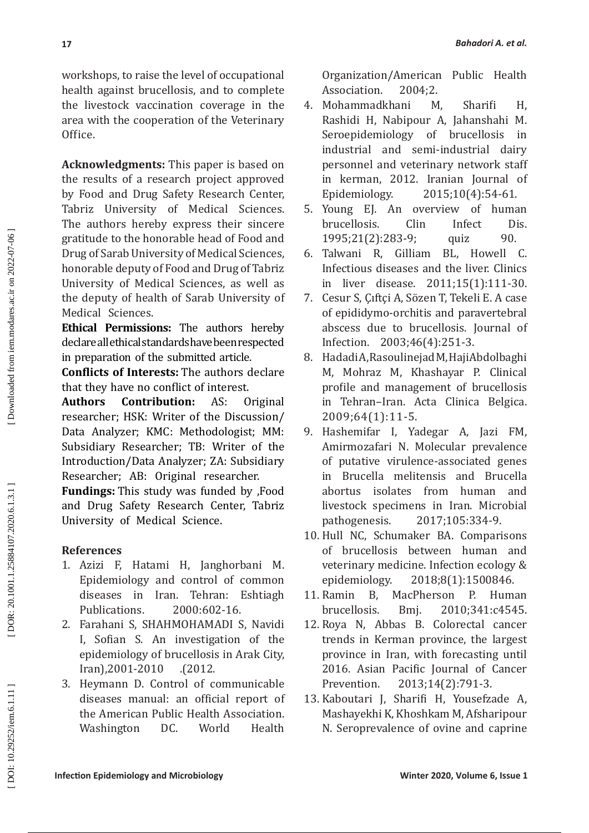workshops, to raise the level of occupational health against brucellosis, and to complete the livestock vaccination coverage in the area with the cooperation of the Veterinary Office.

**Acknowledgments:** This paper is based on the results of a research project approved by Food and Drug Safety Research Center, Tabriz University of Medical Sciences. The authors hereby express their sincere gratitude to the honorable head of Food and Drug of Sarab University of Medical Sciences, honorable deputy of Food and Drug of Tabriz University of Medical Sciences, as well as the deputy of health of Sarab University of Medical Sciences.

**Ethical Permissions:** The authors hereby declare all ethical standards have been respected in preparation of the submitted article.

**Conflicts of Interests:** The authors declare that they have no conflict of interest.

**Authors Contribution:** AS: Original researcher; HSK: Writer of the Discussion/ Data Analyzer; KMC: Methodologist; MM: Subsidiary Researcher; TB: Writer of the Introduction/Data Analyzer; ZA: Subsidiary Researcher; AB: Original researcher.

**Fundings:** This study was funded by ,Food and Drug Safety Research Center, Tabriz University of Medical Science.

# **References**

- 1. Azizi F, Hatami H, Janghorbani M. Epidemiology and control of common diseases in Iran. Tehran: Eshtiagh Publications. 2000:602-16.
- 2 . Farahani S, SHAHMOHAMADI S, Navidi I, Sofian S. An investigation of the epidemiology of brucellosis in Arak City, Iran ( ,2001-2010 . )2012 .
- 3 . Heymann D. Control of communicable diseases manual: an official report of the American Public Health Association. Washington DC. World Health

Organization/American Public Health<br>Association. 2004:2.

- Association. 2004;2.<br>Mohammadkhani M. 4 . Mohammadkhani M, Sharifi H, Rashidi H, Nabipour A, Jahanshahi M. Seroepidemiology of brucellosis in industrial and semi-industrial dairy personnel and veterinary network staff in kerman, 2012. Iranian Journal of Epidemiology. 2015;10(4):54-61.
- 5 . Young EJ. An overview of human brucellosis. Clin Infect Dis.<br>1995:21(2):283-9: quiz 90. 1995;21(2):283-9; quiz 90.<br>Talwani R, Gilliam BL, Howell C.
- 6 . Talwani R, Gilliam BL, Howell C. Infectious diseases and the liver. Clinics in liver disease. 2011;15(1):111-30.
- 7 . Cesur S, Çıftçi A, Sözen T, Tekeli E. A case of epididymo-orchitis and paravertebral abscess due to brucellosis. Journal of Infection. 2003;46(4):251-3.
- 8 . Hadadi A, Rasoulinejad M, HajiAbdolbaghi M, Mohraz M, Khashayar P. Clinical profile and management of brucellosis in Tehran–Iran. Acta Clinica Belgica. 2009;64(1):11-5.
- 9 . Hashemifar I, Yadegar A, Jazi FM, Amirmozafari N. Molecular prevalence of putative virulence-associated genes in Brucella melitensis and Brucella abortus isolates from human and livestock specimens in Iran. Microbial<br>pathogenesis. 2017;105:334-9. pathogenesis. 2017;105:334-9.
- 10 . Hull NC, Schumaker BA. Comparisons of brucellosis between human and veterinary medicine. Infection ecology &<br>enidemiology. 2018:8(1):1500846. epidemiology. 2018;8(1):1500846.<br>B. MacPherson P. Hum
- 11 Ramin MacPherson P. Human brucellosis. Bmj. 2010;341:c4545.
- 12 . Roya N, Abbas B. Colorectal cancer trends in Kerman province, the largest province in Iran, with forecasting until 2016. Asian Pacific Journal of Cancer Prevention. 2013;14(2):791-3.
- 13 . Kaboutari J, Sharifi H, Yousefzade A, Mashayekhi K, Khoshkam M, Afsharipour N. Seroprevalence of ovine and caprine

DOR: 20.1001.1.25884107.2020.6.1.3.1]

Downloaded from iem.modares.ac.ir on 2022-07-06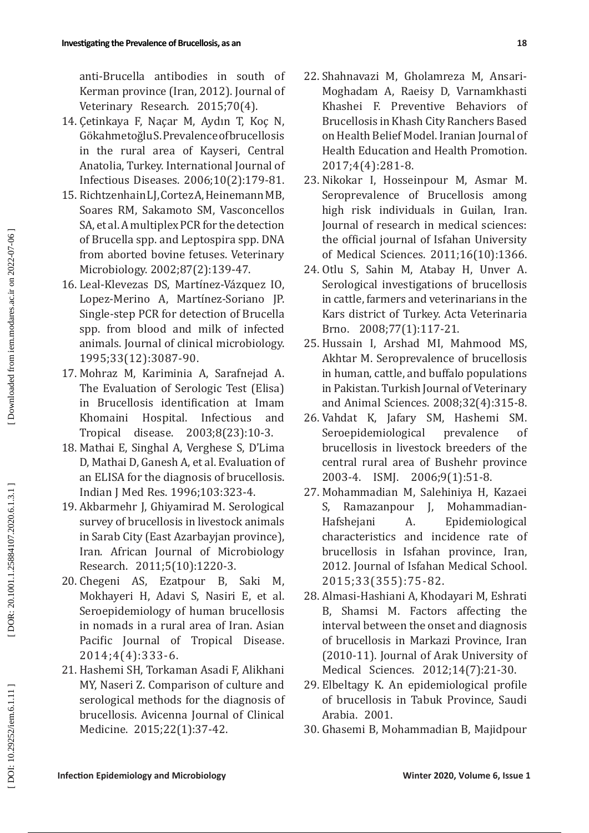anti-Brucella antibodies in south of Kerman province (Iran, 2012). Journal of Veterinary Research. 2015;70(4).

- 14 . Çetinkaya F, Naçar M, Aydın T, Koç N, Gökahmetoğlu S. Prevalence of brucellosis in the rural area of Kayseri, Central Anatolia, Turkey. International Journal of Infectious Diseases. 2006;10(2):179-81.
- 15 . Richtzenhain LJ, Cortez A, Heinemann MB, Soares RM, Sakamoto SM, Vasconcellos SA, et al. A multiplex PCR for the detection of Brucella spp. and Leptospira spp. DNA from aborted bovine fetuses. Veterinary Microbiology. 2002;87(2):139-47.
- 16 . Leal-Klevezas DS, Mart í�nez-Vázquez IO, Lopez-Merino A, Mart í�nez-Soriano JP. Single-step PCR for detection of Brucella spp. from blood and milk of infected animals. Journal of clinical microbiology. 1995;33(12):3087-90 .
- 17 . Mohraz M, Kariminia A, Sarafnejad A. The Evaluation of Serologic Test (Elisa) in Brucellosis identification at Imam Khomaini Hospital. Infectious and Tropical disease. 2003;8(23):10-3.
- 18 . Mathai E, Singhal A, Verghese S, D'Lima D, Mathai D, Ganesh A, et al. Evaluation of an ELISA for the diagnosis of brucellosis. Indian J Med Res. 1996;103:323-4.
- 19 . Akbarmehr J, Ghiyamirad M. Serological survey of brucellosis in livestock animals in Sarab City (East Azarbayjan province), Iran. African Journal of Microbiology Research. 2011;5(10):1220-3.
- 20 . Chegeni AS, Ezatpour B, Saki M, Mokhayeri H, Adavi S, Nasiri E, et al. Seroepidemiology of human brucellosis in nomads in a rural area of Iran. Asian Pacific Journal of Tropical Disease. 2014;4(4):333-6.
- 21 . Hashemi SH, Torkaman Asadi F, Alikhani MY, Naseri Z. Comparison of culture and serological methods for the diagnosis of brucellosis. Avicenna Journal of Clinical Medicine. 2015;22(1):37-42.
- 22 . Shahnavazi M, Gholamreza M, Ansari-Moghadam A, Raeisy D, Varnamkhasti Khashei F. Preventive Behaviors of Brucellosis in Khash City Ranchers Based on Health Belief Model. Iranian Journal of Health Education and Health Promotion. 2017;4(4):281-8.
- 23 . Nikokar I, Hosseinpour M, Asmar M. Seroprevalence of Brucellosis among high risk individuals in Guilan, Iran. Journal of research in medical sciences: the official journal of Isfahan University of Medical Sciences. 2011;16(10):1366.
- 24 . Otlu S, Sahin M, Atabay H, Unver A. Serological investigations of brucellosis in cattle, farmers and veterinarians in the Kars district of Turkey. Acta Veterinaria Brno. 2008;77(1):117-21.
- 25 . Hussain I, Arshad MI, Mahmood MS, Akhtar M. Seroprevalence of brucellosis in human, cattle, and buffalo populations in Pakistan. Turkish Journal of Veterinary and Animal Sciences. 2008;32(4):315-8.
- 26 . Vahdat K, Jafary SM, Hashemi SM. Seroepidemiological prevalence of brucellosis in livestock breeders of the central rural area of Bushehr province 2003-4. ISMJ. 2006;9(1):51-8.
- 27 . Mohammadian M, Salehiniya H, Kazaei S, Ramazanpour J, Mohammadian-Hafshejani A. Epidemiological characteristics and incidence rate of brucellosis in Isfahan province, Iran, 2012. Journal of Isfahan Medical School. 2015;33(355):75-82.
- 28 . Almasi-Hashiani A, Khodayari M, Eshrati B, Shamsi M. Factors affecting the interval between the onset and diagnosis of brucellosis in Markazi Province, Iran (2010-11). Journal of Arak University of Medical Sciences. 2012;14(7):21-30.
- 29 . Elbeltagy K. An epidemiological profile of brucellosis in Tabuk Province, Saudi Arabia. 2001.
- 30 . Ghasemi B, Mohammadian B, Majidpour

DOI: 10.29252/iem.6.1.11]